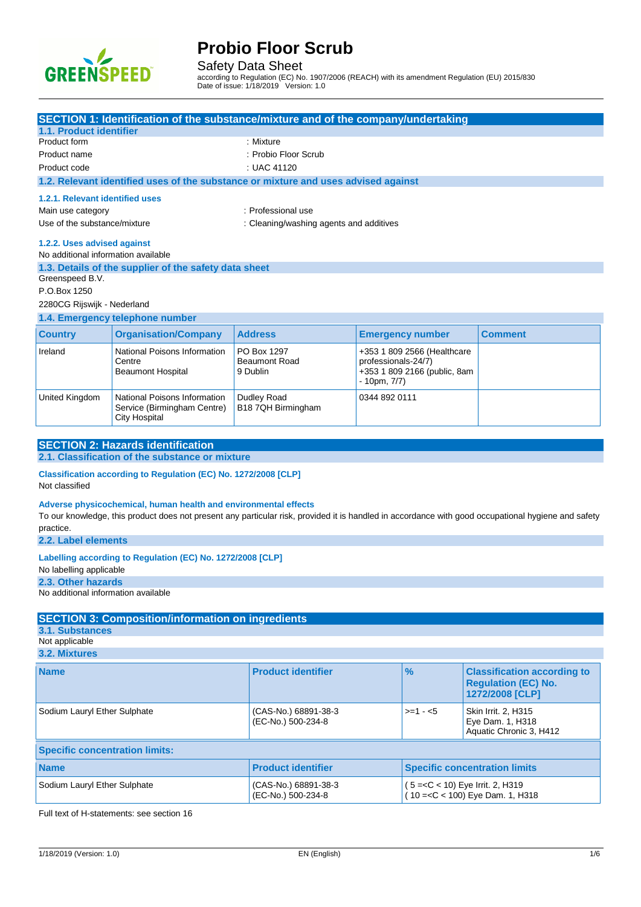

Safety Data Sheet

according to Regulation (EC) No. 1907/2006 (REACH) with its amendment Regulation (EU) 2015/830 Date of issue: 1/18/2019 Version: 1.0

|                                       |                                                                 | SECTION 1: Identification of the substance/mixture and of the company/undertaking  |                                                    |                                                                                                                                                     |  |
|---------------------------------------|-----------------------------------------------------------------|------------------------------------------------------------------------------------|----------------------------------------------------|-----------------------------------------------------------------------------------------------------------------------------------------------------|--|
| 1.1. Product identifier               |                                                                 |                                                                                    |                                                    |                                                                                                                                                     |  |
| Product form                          |                                                                 | : Mixture                                                                          |                                                    |                                                                                                                                                     |  |
| Product name                          |                                                                 | : Probio Floor Scrub                                                               |                                                    |                                                                                                                                                     |  |
| : UAC 41120<br>Product code           |                                                                 |                                                                                    |                                                    |                                                                                                                                                     |  |
|                                       |                                                                 | 1.2. Relevant identified uses of the substance or mixture and uses advised against |                                                    |                                                                                                                                                     |  |
| 1.2.1. Relevant identified uses       |                                                                 |                                                                                    |                                                    |                                                                                                                                                     |  |
| Main use category                     |                                                                 | : Professional use                                                                 |                                                    |                                                                                                                                                     |  |
| Use of the substance/mixture          |                                                                 | : Cleaning/washing agents and additives                                            |                                                    |                                                                                                                                                     |  |
| 1.2.2. Uses advised against           |                                                                 |                                                                                    |                                                    |                                                                                                                                                     |  |
| No additional information available   |                                                                 |                                                                                    |                                                    |                                                                                                                                                     |  |
|                                       | 1.3. Details of the supplier of the safety data sheet           |                                                                                    |                                                    |                                                                                                                                                     |  |
| Greenspeed B.V.<br>P.O.Box 1250       |                                                                 |                                                                                    |                                                    |                                                                                                                                                     |  |
| 2280CG Rijswijk - Nederland           |                                                                 |                                                                                    |                                                    |                                                                                                                                                     |  |
|                                       | 1.4. Emergency telephone number                                 |                                                                                    |                                                    |                                                                                                                                                     |  |
| <b>Country</b>                        | <b>Organisation/Company</b>                                     | <b>Address</b>                                                                     | <b>Emergency number</b>                            | <b>Comment</b>                                                                                                                                      |  |
|                                       |                                                                 |                                                                                    |                                                    |                                                                                                                                                     |  |
| Ireland                               | National Poisons Information<br>Centre                          | PO Box 1297<br><b>Beaumont Road</b>                                                | +353 1 809 2566 (Healthcare<br>professionals-24/7) |                                                                                                                                                     |  |
|                                       | <b>Beaumont Hospital</b>                                        | 9 Dublin                                                                           | +353 1 809 2166 (public, 8am                       |                                                                                                                                                     |  |
|                                       |                                                                 |                                                                                    | - 10pm, 7/7)                                       |                                                                                                                                                     |  |
| United Kingdom                        | National Poisons Information                                    | Dudley Road                                                                        | 0344 892 0111                                      |                                                                                                                                                     |  |
|                                       | Service (Birmingham Centre)<br>City Hospital                    | B18 7QH Birmingham                                                                 |                                                    |                                                                                                                                                     |  |
|                                       |                                                                 |                                                                                    |                                                    |                                                                                                                                                     |  |
|                                       | <b>SECTION 2: Hazards identification</b>                        |                                                                                    |                                                    |                                                                                                                                                     |  |
|                                       | 2.1. Classification of the substance or mixture                 |                                                                                    |                                                    |                                                                                                                                                     |  |
|                                       | Classification according to Regulation (EC) No. 1272/2008 [CLP] |                                                                                    |                                                    |                                                                                                                                                     |  |
| Not classified                        |                                                                 |                                                                                    |                                                    |                                                                                                                                                     |  |
|                                       |                                                                 |                                                                                    |                                                    |                                                                                                                                                     |  |
|                                       | Adverse physicochemical, human health and environmental effects |                                                                                    |                                                    | To our knowledge, this product does not present any particular risk, provided it is handled in accordance with good occupational hygiene and safety |  |
| practice.                             |                                                                 |                                                                                    |                                                    |                                                                                                                                                     |  |
| 2.2. Label elements                   |                                                                 |                                                                                    |                                                    |                                                                                                                                                     |  |
|                                       | Labelling according to Regulation (EC) No. 1272/2008 [CLP]      |                                                                                    |                                                    |                                                                                                                                                     |  |
| No labelling applicable               |                                                                 |                                                                                    |                                                    |                                                                                                                                                     |  |
| 2.3. Other hazards                    |                                                                 |                                                                                    |                                                    |                                                                                                                                                     |  |
| No additional information available   |                                                                 |                                                                                    |                                                    |                                                                                                                                                     |  |
|                                       |                                                                 |                                                                                    |                                                    |                                                                                                                                                     |  |
| 3.1. Substances                       | <b>SECTION 3: Composition/information on ingredients</b>        |                                                                                    |                                                    |                                                                                                                                                     |  |
| Not applicable                        |                                                                 |                                                                                    |                                                    |                                                                                                                                                     |  |
| 3.2. Mixtures                         |                                                                 |                                                                                    |                                                    |                                                                                                                                                     |  |
|                                       |                                                                 | <b>Product identifier</b>                                                          | $\frac{9}{6}$                                      |                                                                                                                                                     |  |
| <b>Name</b>                           |                                                                 |                                                                                    |                                                    | <b>Classification according to</b><br><b>Regulation (EC) No.</b>                                                                                    |  |
|                                       |                                                                 |                                                                                    |                                                    | 1272/2008 [CLP]                                                                                                                                     |  |
| Sodium Lauryl Ether Sulphate          |                                                                 | (CAS-No.) 68891-38-3                                                               | $>=1 - 5$                                          | Skin Irrit. 2, H315                                                                                                                                 |  |
|                                       |                                                                 | (EC-No.) 500-234-8                                                                 |                                                    | Eye Dam. 1, H318                                                                                                                                    |  |
| Aquatic Chronic 3, H412               |                                                                 |                                                                                    |                                                    |                                                                                                                                                     |  |
| <b>Specific concentration limits:</b> |                                                                 |                                                                                    |                                                    |                                                                                                                                                     |  |
| <b>Name</b>                           |                                                                 | <b>Product identifier</b>                                                          |                                                    | <b>Specific concentration limits</b>                                                                                                                |  |
|                                       |                                                                 |                                                                                    |                                                    |                                                                                                                                                     |  |
| Sodium Lauryl Ether Sulphate          |                                                                 | (CAS-No.) 68891-38-3<br>(EC-No.) 500-234-8                                         | (5 = < C < 10) Eye Irrit. 2, H319                  | $10 = < C < 100$ ) Eye Dam. 1, H318                                                                                                                 |  |
|                                       |                                                                 |                                                                                    |                                                    |                                                                                                                                                     |  |

Full text of H-statements: see section 16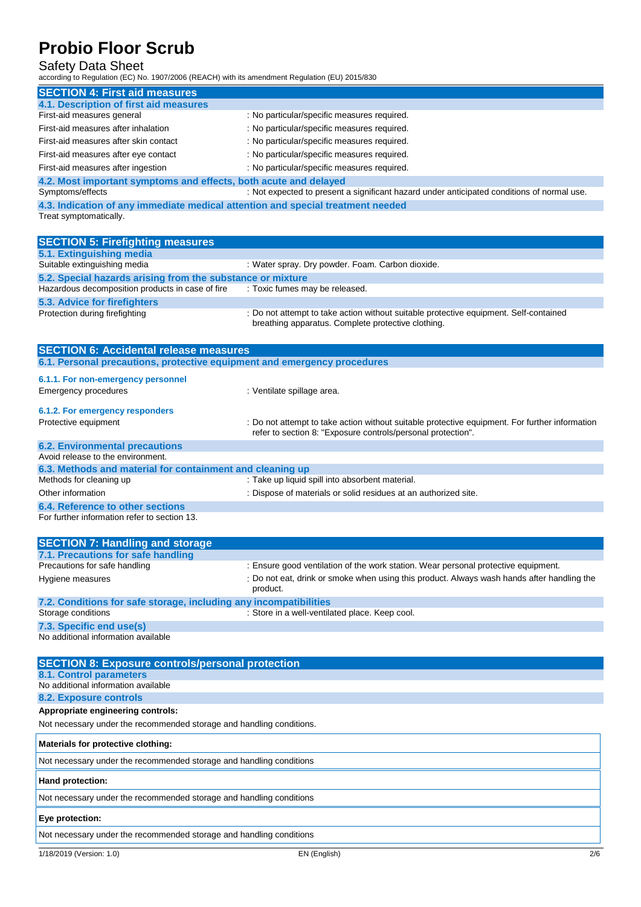### Safety Data Sheet

according to Regulation (EC) No. 1907/2006 (REACH) with its amendment Regulation (EU) 2015/830

| <b>SECTION 4: First aid measures</b>                                         |                                                                                            |  |  |
|------------------------------------------------------------------------------|--------------------------------------------------------------------------------------------|--|--|
| 4.1. Description of first aid measures                                       |                                                                                            |  |  |
| First-aid measures general                                                   | : No particular/specific measures required.                                                |  |  |
| First-aid measures after inhalation                                          | : No particular/specific measures required.                                                |  |  |
| First-aid measures after skin contact                                        | : No particular/specific measures required.                                                |  |  |
| First-aid measures after eye contact                                         | : No particular/specific measures required.                                                |  |  |
| First-aid measures after ingestion                                           | : No particular/specific measures required.                                                |  |  |
| 4.2. Most important symptoms and effects, both acute and delayed             |                                                                                            |  |  |
| Symptoms/effects                                                             | : Not expected to present a significant hazard under anticipated conditions of normal use. |  |  |
| A ladication of any immediate medical strongion and special treatment people |                                                                                            |  |  |

**immediate medical attention and special treatment 4.3. Indication of an Treat symptomatically.** 

| <b>SECTION 5: Firefighting measures</b>                                  |                                                                                                                                             |  |  |  |
|--------------------------------------------------------------------------|---------------------------------------------------------------------------------------------------------------------------------------------|--|--|--|
| 5.1. Extinguishing media                                                 |                                                                                                                                             |  |  |  |
| Suitable extinguishing media                                             | : Water spray. Dry powder. Foam. Carbon dioxide.                                                                                            |  |  |  |
|                                                                          | 5.2. Special hazards arising from the substance or mixture                                                                                  |  |  |  |
| Hazardous decomposition products in case of fire                         | : Toxic fumes may be released.                                                                                                              |  |  |  |
| 5.3. Advice for firefighters                                             |                                                                                                                                             |  |  |  |
| Protection during firefighting                                           | : Do not attempt to take action without suitable protective equipment. Self-contained<br>breathing apparatus. Complete protective clothing. |  |  |  |
| <b>SECTION 6: Accidental release measures</b>                            |                                                                                                                                             |  |  |  |
| 6.1. Personal precautions, protective equipment and emergency procedures |                                                                                                                                             |  |  |  |
|                                                                          |                                                                                                                                             |  |  |  |

## **6.1.1. For non-emergency personnel**

| Emergency procedures                                      | : Ventilate spillage area.                                                                                                                                     |
|-----------------------------------------------------------|----------------------------------------------------------------------------------------------------------------------------------------------------------------|
| 6.1.2. For emergency responders                           |                                                                                                                                                                |
| Protective equipment                                      | : Do not attempt to take action without suitable protective equipment. For further information<br>refer to section 8: "Exposure controls/personal protection". |
| <b>6.2. Environmental precautions</b>                     |                                                                                                                                                                |
| Avoid release to the environment.                         |                                                                                                                                                                |
| 6.3. Methods and material for containment and cleaning up |                                                                                                                                                                |
| Methods for cleaning up                                   | : Take up liquid spill into absorbent material.                                                                                                                |
| Other information                                         | : Dispose of materials or solid residues at an authorized site.                                                                                                |
| 6.4. Reference to other sections                          |                                                                                                                                                                |

For further information refer to section 13.

| <b>SECTION 7: Handling and storage</b>                            |                                                                                                        |
|-------------------------------------------------------------------|--------------------------------------------------------------------------------------------------------|
| 7.1. Precautions for safe handling                                |                                                                                                        |
| Precautions for safe handling                                     | : Ensure good ventilation of the work station. Wear personal protective equipment.                     |
| Hygiene measures                                                  | : Do not eat, drink or smoke when using this product. Always wash hands after handling the<br>product. |
| 7.2. Conditions for safe storage, including any incompatibilities |                                                                                                        |
| Storage conditions                                                | : Store in a well-ventilated place. Keep cool.                                                         |
| 7.3. Specific end use(s)                                          |                                                                                                        |

No additional information available

| <b>SECTION 8: Exposure controls/personal protection</b>              |
|----------------------------------------------------------------------|
| 8.1. Control parameters                                              |
| No additional information available                                  |
| 8.2. Exposure controls                                               |
| Appropriate engineering controls:                                    |
| Not necessary under the recommended storage and handling conditions. |
| Materials for protective clothing:                                   |
| Not necessary under the recommended storage and handling conditions  |
| Hand protection:                                                     |
| Not necessary under the recommended storage and handling conditions  |
| Eye protection:                                                      |
| Not necessary under the recommended storage and handling conditions  |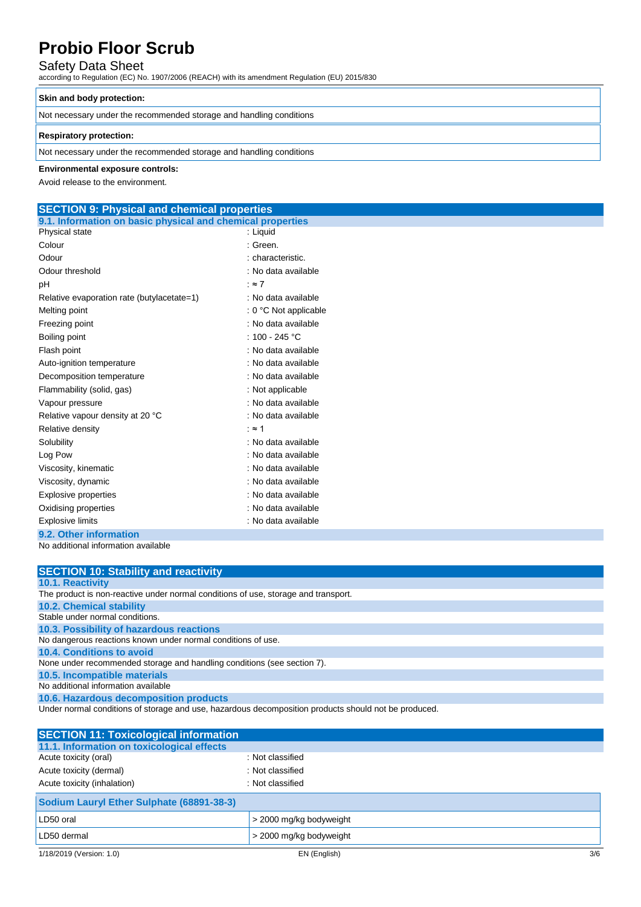## Safety Data Sheet

according to Regulation (EC) No. 1907/2006 (REACH) with its amendment Regulation (EU) 2015/830

### **Skin and body protection:**

Not necessary under the recommended storage and handling conditions

### **Respiratory protection:**

Not necessary under the recommended storage and handling conditions

### **Environmental exposure controls:**

Avoid release to the environment.

## **SECTION 9: Physical and chemical properties**

| 9.1. Information on basic physical and chemical properties |                          |
|------------------------------------------------------------|--------------------------|
| Physical state                                             | : Liquid                 |
| Colour                                                     | : Green.                 |
| Odour                                                      | : characteristic.        |
| Odour threshold                                            | : No data available      |
| pH                                                         | : $\approx 7$            |
| Relative evaporation rate (butylacetate=1)                 | : No data available      |
| Melting point                                              | $: 0 °C$ Not applicable  |
| Freezing point                                             | : No data available      |
| Boiling point                                              | : 100 - 245 $^{\circ}$ C |
| Flash point                                                | : No data available      |
| Auto-ignition temperature                                  | : No data available      |
| Decomposition temperature                                  | : No data available      |
| Flammability (solid, gas)                                  | : Not applicable         |
| Vapour pressure                                            | : No data available      |
| Relative vapour density at 20 °C                           | : No data available      |
| Relative density                                           | ∶≈ 1                     |
| Solubility                                                 | : No data available      |
| Log Pow                                                    | : No data available      |
| Viscosity, kinematic                                       | : No data available      |
| Viscosity, dynamic                                         | : No data available      |
| <b>Explosive properties</b>                                | : No data available      |
| Oxidising properties                                       | : No data available      |
| <b>Explosive limits</b>                                    | : No data available      |
| 9.2. Other information                                     |                          |
| No additional information available                        |                          |

| <b>SECTION 10: Stability and reactivity</b>                                        |
|------------------------------------------------------------------------------------|
| <b>10.1. Reactivity</b>                                                            |
| The product is non-reactive under normal conditions of use, storage and transport. |
| <b>10.2. Chemical stability</b>                                                    |
| Stable under normal conditions.                                                    |
| 10.3. Possibility of hazardous reactions                                           |
| No dangerous reactions known under normal conditions of use.                       |
| 10.4. Conditions to avoid                                                          |
| None under recommended storage and handling conditions (see section 7).            |
| 10.5. Incompatible materials                                                       |
| No additional information available                                                |
| 10.6. Hazardous decomposition products                                             |

Under normal conditions of storage and use, hazardous decomposition products should not be produced.

| <b>SECTION 11: Toxicological information</b> |                         |     |
|----------------------------------------------|-------------------------|-----|
| 11.1. Information on toxicological effects   |                         |     |
| Acute toxicity (oral)                        | : Not classified        |     |
| Acute toxicity (dermal)                      | : Not classified        |     |
| Acute toxicity (inhalation)                  | : Not classified        |     |
| Sodium Lauryl Ether Sulphate (68891-38-3)    |                         |     |
| LD50 oral                                    | > 2000 mg/kg bodyweight |     |
| LD50 dermal                                  | > 2000 mg/kg bodyweight |     |
| 1/18/2019 (Version: 1.0)                     | EN (English)            | 3/6 |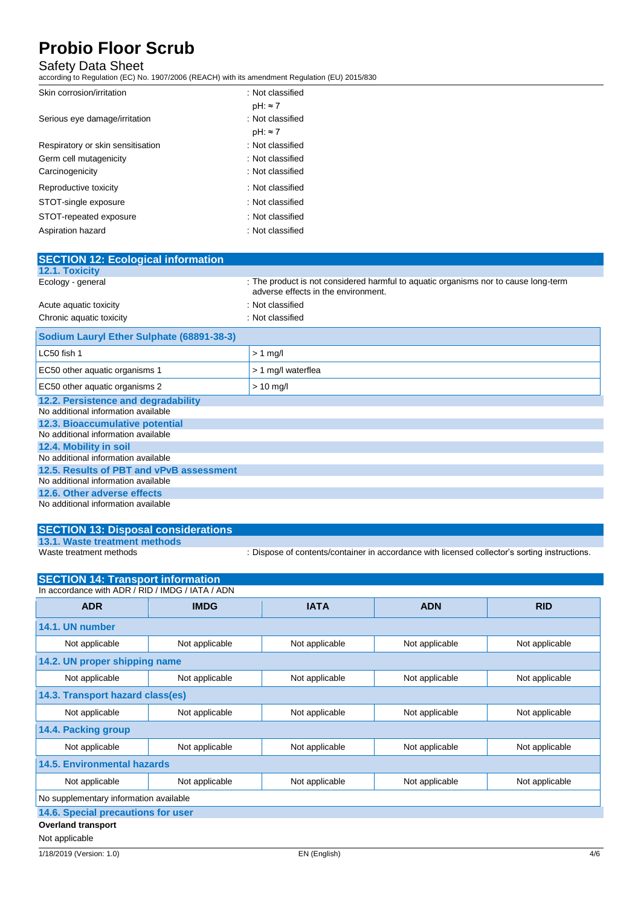## Safety Data Sheet

according to Regulation (EC) No. 1907/2006 (REACH) with its amendment Regulation (EU) 2015/830

| Skin corrosion/irritation         | : Not classified |
|-----------------------------------|------------------|
|                                   | $pH: \approx 7$  |
| Serious eye damage/irritation     | : Not classified |
|                                   | $pH: \approx 7$  |
| Respiratory or skin sensitisation | : Not classified |
| Germ cell mutagenicity            | : Not classified |
| Carcinogenicity                   | : Not classified |
| Reproductive toxicity             | : Not classified |
| STOT-single exposure              | : Not classified |
| STOT-repeated exposure            | : Not classified |
| Aspiration hazard                 | : Not classified |

| <b>SECTION 12: Ecological information</b> |                                                                                                                            |  |  |
|-------------------------------------------|----------------------------------------------------------------------------------------------------------------------------|--|--|
| <b>12.1. Toxicity</b>                     |                                                                                                                            |  |  |
| Ecology - general                         | : The product is not considered harmful to aquatic organisms nor to cause long-term<br>adverse effects in the environment. |  |  |
| Acute aquatic toxicity                    | : Not classified                                                                                                           |  |  |
| Chronic aquatic toxicity                  | : Not classified                                                                                                           |  |  |
| Sodium Lauryl Ether Sulphate (68891-38-3) |                                                                                                                            |  |  |
| LC50 fish 1                               | $> 1$ mg/l                                                                                                                 |  |  |
| EC50 other aquatic organisms 1            | > 1 mg/l waterflea                                                                                                         |  |  |
| EC50 other aquatic organisms 2            | $> 10$ mg/l                                                                                                                |  |  |
| 12.2. Persistence and degradability       |                                                                                                                            |  |  |
| No additional information available       |                                                                                                                            |  |  |
| 12.3. Bioaccumulative potential           |                                                                                                                            |  |  |
| No additional information available       |                                                                                                                            |  |  |
| 12.4. Mobility in soil                    |                                                                                                                            |  |  |
| No additional information available       |                                                                                                                            |  |  |
| 12.5. Results of PBT and vPvB assessment  |                                                                                                                            |  |  |
| No additional information available       |                                                                                                                            |  |  |
| 12.6. Other adverse effects               |                                                                                                                            |  |  |
| No additional information available       |                                                                                                                            |  |  |

## **SECTION 13: Disposal considerations 13.1. Waste treatment methods**

: Dispose of contents/container in accordance with licensed collector's sorting instructions.

| <b>SECTION 14: Transport information</b>         |                |                |                |                |
|--------------------------------------------------|----------------|----------------|----------------|----------------|
| In accordance with ADR / RID / IMDG / IATA / ADN |                |                |                |                |
| <b>ADR</b>                                       | <b>IMDG</b>    | <b>IATA</b>    | <b>ADN</b>     | <b>RID</b>     |
| 14.1. UN number                                  |                |                |                |                |
| Not applicable                                   | Not applicable | Not applicable | Not applicable | Not applicable |
| 14.2. UN proper shipping name                    |                |                |                |                |
| Not applicable                                   | Not applicable | Not applicable | Not applicable | Not applicable |
| 14.3. Transport hazard class(es)                 |                |                |                |                |
| Not applicable                                   | Not applicable | Not applicable | Not applicable | Not applicable |
| 14.4. Packing group                              |                |                |                |                |
| Not applicable                                   | Not applicable | Not applicable | Not applicable | Not applicable |
| <b>14.5. Environmental hazards</b>               |                |                |                |                |
| Not applicable                                   | Not applicable | Not applicable | Not applicable | Not applicable |
| No supplementary information available           |                |                |                |                |
| 14.6. Special precautions for user               |                |                |                |                |
| <b>Overland transport</b>                        |                |                |                |                |
| Not applicable                                   |                |                |                |                |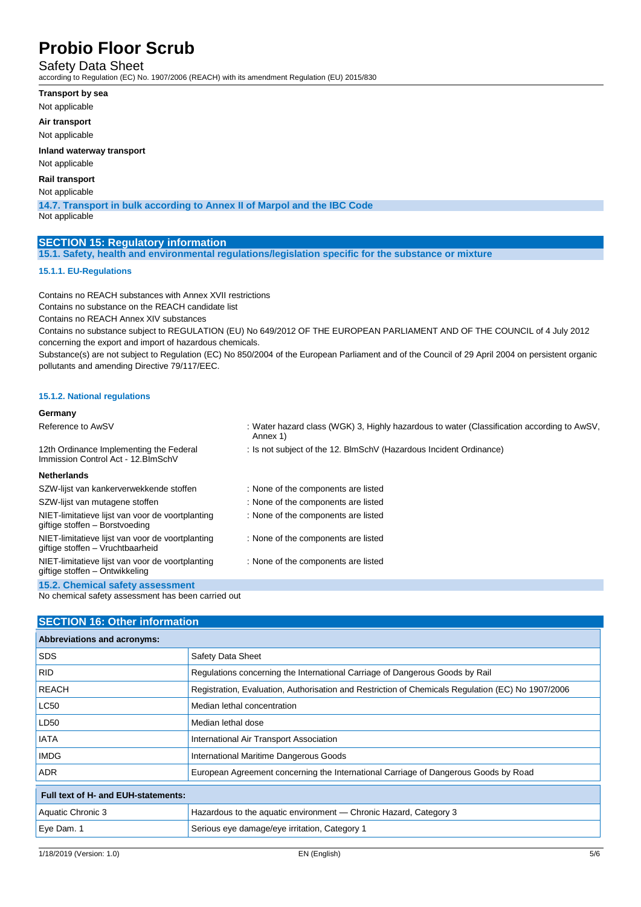### Safety Data Sheet

according to Regulation (EC) No. 1907/2006 (REACH) with its amendment Regulation (EU) 2015/830

- **Transport by sea**
- Not applicable

**Air transport**

Not applicable

**Inland waterway transport**

Not applicable

### **Rail transport**

Not applicable

**14.7. Transport in bulk according to Annex II of Marpol and the IBC Code**

Not applicable

### **SECTION 15: Regulatory information**

**15.1. Safety, health and environmental regulations/legislation specific for the substance or mixture**

### **15.1.1. EU-Regulations**

Contains no REACH substances with Annex XVII restrictions Contains no substance on the REACH candidate list

Contains no REACH Annex XIV substances

Contains no substance subject to REGULATION (EU) No 649/2012 OF THE EUROPEAN PARLIAMENT AND OF THE COUNCIL of 4 July 2012 concerning the export and import of hazardous chemicals.

Substance(s) are not subject to Regulation (EC) No 850/2004 of the European Parliament and of the Council of 29 April 2004 on persistent organic pollutants and amending Directive 79/117/EEC.

### **15.1.2. National regulations**

#### **Germany** Reference to AwSV : Water hazard class (WGK) 3, Highly hazardous to water (Classification according to AwSV, Annex 1) 12th Ordinance Implementing the Federal Immission Control Act - 12.BImSchV : Is not subject of the 12. BlmSchV (Hazardous Incident Ordinance) **Netherlands** SZW-lijst van kankerverwekkende stoffen : None of the components are listed SZW-lijst van mutagene stoffen : None of the components are listed NIET-limitatieve lijst van voor de voortplanting giftige stoffen – Borstvoeding : None of the components are listed NIET-limitatieve lijst van voor de voortplanting giftige stoffen – Vruchtbaarheid : None of the components are listed NIET-limitatieve lijst van voor de voortplanting giftige stoffen – Ontwikkeling : None of the components are listed **15.2. Chemical safety assessment**

No chemical safety assessment has been carried out

### **SECTION 16: Other information**

| Abbreviations and acronyms:         |                                                                                                   |
|-------------------------------------|---------------------------------------------------------------------------------------------------|
| <b>SDS</b>                          | Safety Data Sheet                                                                                 |
| <b>RID</b>                          | Regulations concerning the International Carriage of Dangerous Goods by Rail                      |
| <b>REACH</b>                        | Registration, Evaluation, Authorisation and Restriction of Chemicals Regulation (EC) No 1907/2006 |
| <b>LC50</b>                         | Median lethal concentration                                                                       |
| LD <sub>50</sub>                    | Median lethal dose                                                                                |
| IATA                                | International Air Transport Association                                                           |
| <b>IMDG</b>                         | International Maritime Dangerous Goods                                                            |
| <b>ADR</b>                          | European Agreement concerning the International Carriage of Dangerous Goods by Road               |
| Full text of H- and EUH-statements: |                                                                                                   |
| Aquatic Chronic 3                   | Hazardous to the aquatic environment — Chronic Hazard, Category 3                                 |
| Eye Dam. 1                          | Serious eye damage/eye irritation, Category 1                                                     |
|                                     |                                                                                                   |